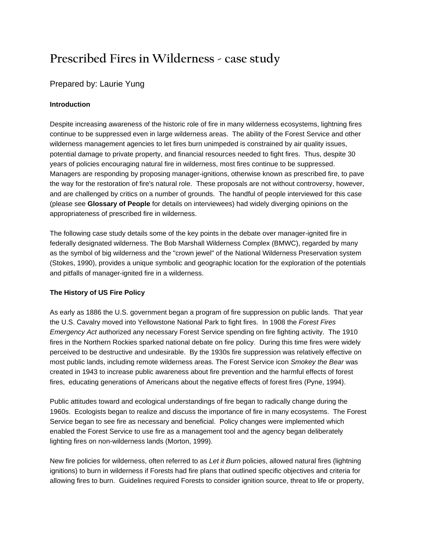# **Prescribed Fires in Wilderness - case study**

## Prepared by: Laurie Yung

## **Introduction**

Despite increasing awareness of the historic role of fire in many wilderness ecosystems, lightning fires continue to be suppressed even in large wilderness areas. The ability of the Forest Service and other wilderness management agencies to let fires burn unimpeded is constrained by air quality issues, potential damage to private property, and financial resources needed to fight fires. Thus, despite 30 years of policies encouraging natural fire in wilderness, most fires continue to be suppressed. Managers are responding by proposing manager-ignitions, otherwise known as prescribed fire, to pave the way for the restoration of fire's natural role. These proposals are not without controversy, however, and are challenged by critics on a number of grounds. The handful of people interviewed for this case (please see **Glossary of People** for details on interviewees) had widely diverging opinions on the appropriateness of prescribed fire in wilderness.

The following case study details some of the key points in the debate over manager-ignited fire in federally designated wilderness. The Bob Marshall Wilderness Complex (BMWC), regarded by many as the symbol of big wilderness and the "crown jewel" of the National Wilderness Preservation system (Stokes, 1990), provides a unique symbolic and geographic location for the exploration of the potentials and pitfalls of manager-ignited fire in a wilderness.

## **The History of US Fire Policy**

As early as 1886 the U.S. government began a program of fire suppression on public lands. That year the U.S. Cavalry moved into Yellowstone National Park to fight fires. In 1908 the *Forest Fires Emergency Act* authorized any necessary Forest Service spending on fire fighting activity. The 1910 fires in the Northern Rockies sparked national debate on fire policy. During this time fires were widely perceived to be destructive and undesirable. By the 1930s fire suppression was relatively effective on most public lands, including remote wilderness areas. The Forest Service icon *Smokey the Bear* was created in 1943 to increase public awareness about fire prevention and the harmful effects of forest fires, educating generations of Americans about the negative effects of forest fires (Pyne, 1994).

Public attitudes toward and ecological understandings of fire began to radically change during the 1960s. Ecologists began to realize and discuss the importance of fire in many ecosystems. The Forest Service began to see fire as necessary and beneficial. Policy changes were implemented which enabled the Forest Service to use fire as a management tool and the agency began deliberately lighting fires on non-wilderness lands (Morton, 1999).

New fire policies for wilderness, often referred to as *Let it Burn* policies, allowed natural fires (lightning ignitions) to burn in wilderness if Forests had fire plans that outlined specific objectives and criteria for allowing fires to burn. Guidelines required Forests to consider ignition source, threat to life or property,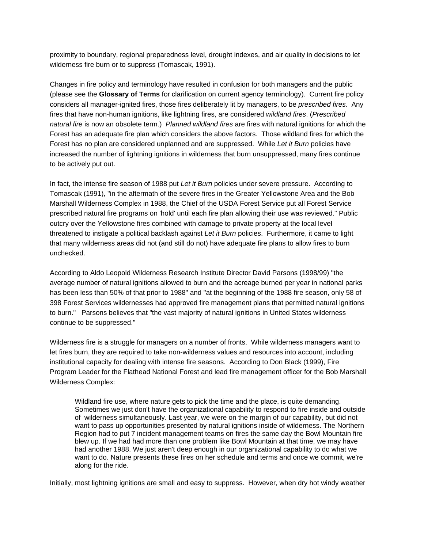proximity to boundary, regional preparedness level, drought indexes, and air quality in decisions to let wilderness fire burn or to suppress (Tomascak, 1991).

Changes in fire policy and terminology have resulted in confusion for both managers and the public (please see the **Glossary of Terms** for clarification on current agency terminology). Current fire policy considers all manager-ignited fires, those fires deliberately lit by managers, to be *prescribed fires*. Any fires that have non-human ignitions, like lightning fires, are considered *wildland fires*. (*Prescribed natural fire* is now an obsolete term.) *Planned wildland fires* are fires with natural ignitions for which the Forest has an adequate fire plan which considers the above factors. Those wildland fires for which the Forest has no plan are considered unplanned and are suppressed. While *Let it Burn* policies have increased the number of lightning ignitions in wilderness that burn unsuppressed, many fires continue to be actively put out.

In fact, the intense fire season of 1988 put *Let it Burn* policies under severe pressure. According to Tomascak (1991), "in the aftermath of the severe fires in the Greater Yellowstone Area and the Bob Marshall Wilderness Complex in 1988, the Chief of the USDA Forest Service put all Forest Service prescribed natural fire programs on 'hold' until each fire plan allowing their use was reviewed." Public outcry over the Yellowstone fires combined with damage to private property at the local level threatened to instigate a political backlash against *Let it Burn* policies. Furthermore, it came to light that many wilderness areas did not (and still do not) have adequate fire plans to allow fires to burn unchecked.

According to Aldo Leopold Wilderness Research Institute Director David Parsons (1998/99) "the average number of natural ignitions allowed to burn and the acreage burned per year in national parks has been less than 50% of that prior to 1988" and "at the beginning of the 1988 fire season, only 58 of 398 Forest Services wildernesses had approved fire management plans that permitted natural ignitions to burn." Parsons believes that "the vast majority of natural ignitions in United States wilderness continue to be suppressed."

Wilderness fire is a struggle for managers on a number of fronts. While wilderness managers want to let fires burn, they are required to take non-wilderness values and resources into account, including institutional capacity for dealing with intense fire seasons. According to Don Black (1999), Fire Program Leader for the Flathead National Forest and lead fire management officer for the Bob Marshall Wilderness Complex:

Wildland fire use, where nature gets to pick the time and the place, is quite demanding. Sometimes we just don't have the organizational capability to respond to fire inside and outside of wilderness simultaneously. Last year, we were on the margin of our capability, but did not want to pass up opportunities presented by natural ignitions inside of wilderness. The Northern Region had to put 7 incident management teams on fires the same day the Bowl Mountain fire blew up. If we had had more than one problem like Bowl Mountain at that time, we may have had another 1988. We just aren't deep enough in our organizational capability to do what we want to do. Nature presents these fires on her schedule and terms and once we commit, we're along for the ride.

Initially, most lightning ignitions are small and easy to suppress. However, when dry hot windy weather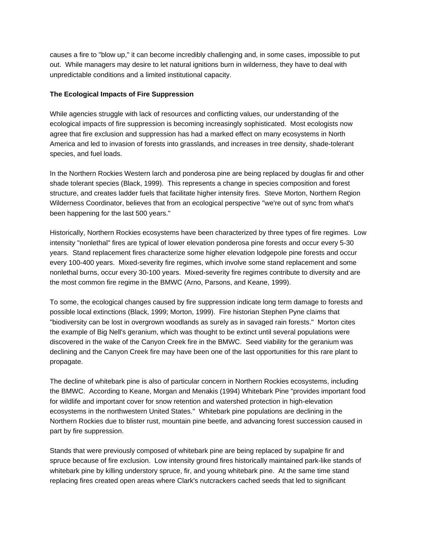causes a fire to "blow up," it can become incredibly challenging and, in some cases, impossible to put out. While managers may desire to let natural ignitions burn in wilderness, they have to deal with unpredictable conditions and a limited institutional capacity.

## **The Ecological Impacts of Fire Suppression**

While agencies struggle with lack of resources and conflicting values, our understanding of the ecological impacts of fire suppression is becoming increasingly sophisticated. Most ecologists now agree that fire exclusion and suppression has had a marked effect on many ecosystems in North America and led to invasion of forests into grasslands, and increases in tree density, shade-tolerant species, and fuel loads.

In the Northern Rockies Western larch and ponderosa pine are being replaced by douglas fir and other shade tolerant species (Black, 1999). This represents a change in species composition and forest structure, and creates ladder fuels that facilitate higher intensity fires. Steve Morton, Northern Region Wilderness Coordinator, believes that from an ecological perspective "we're out of sync from what's been happening for the last 500 years."

Historically, Northern Rockies ecosystems have been characterized by three types of fire regimes. Low intensity "nonlethal" fires are typical of lower elevation ponderosa pine forests and occur every 5-30 years. Stand replacement fires characterize some higher elevation lodgepole pine forests and occur every 100-400 years. Mixed-severity fire regimes, which involve some stand replacement and some nonlethal burns, occur every 30-100 years. Mixed-severity fire regimes contribute to diversity and are the most common fire regime in the BMWC (Arno, Parsons, and Keane, 1999).

To some, the ecological changes caused by fire suppression indicate long term damage to forests and possible local extinctions (Black, 1999; Morton, 1999). Fire historian Stephen Pyne claims that "biodiversity can be lost in overgrown woodlands as surely as in savaged rain forests." Morton cites the example of Big Nell's geranium, which was thought to be extinct until several populations were discovered in the wake of the Canyon Creek fire in the BMWC. Seed viability for the geranium was declining and the Canyon Creek fire may have been one of the last opportunities for this rare plant to propagate.

The decline of whitebark pine is also of particular concern in Northern Rockies ecosystems, including the BMWC. According to Keane, Morgan and Menakis (1994) Whitebark Pine "provides important food for wildlife and important cover for snow retention and watershed protection in high-elevation ecosystems in the northwestern United States." Whitebark pine populations are declining in the Northern Rockies due to blister rust, mountain pine beetle, and advancing forest succession caused in part by fire suppression.

Stands that were previously composed of whitebark pine are being replaced by supalpine fir and spruce because of fire exclusion. Low intensity ground fires historically maintained park-like stands of whitebark pine by killing understory spruce, fir, and young whitebark pine. At the same time stand replacing fires created open areas where Clark's nutcrackers cached seeds that led to significant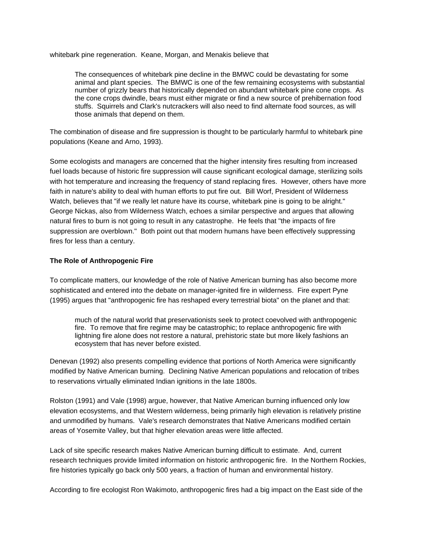whitebark pine regeneration. Keane, Morgan, and Menakis believe that

The consequences of whitebark pine decline in the BMWC could be devastating for some animal and plant species. The BMWC is one of the few remaining ecosystems with substantial number of grizzly bears that historically depended on abundant whitebark pine cone crops. As the cone crops dwindle, bears must either migrate or find a new source of prehibernation food stuffs. Squirrels and Clark's nutcrackers will also need to find alternate food sources, as will those animals that depend on them.

The combination of disease and fire suppression is thought to be particularly harmful to whitebark pine populations (Keane and Arno, 1993).

Some ecologists and managers are concerned that the higher intensity fires resulting from increased fuel loads because of historic fire suppression will cause significant ecological damage, sterilizing soils with hot temperature and increasing the frequency of stand replacing fires. However, others have more faith in nature's ability to deal with human efforts to put fire out. Bill Worf, President of Wilderness Watch, believes that "if we really let nature have its course, whitebark pine is going to be alright." George Nickas, also from Wilderness Watch, echoes a similar perspective and argues that allowing natural fires to burn is not going to result in any catastrophe. He feels that "the impacts of fire suppression are overblown." Both point out that modern humans have been effectively suppressing fires for less than a century.

### **The Role of Anthropogenic Fire**

To complicate matters, our knowledge of the role of Native American burning has also become more sophisticated and entered into the debate on manager-ignited fire in wilderness. Fire expert Pyne (1995) argues that "anthropogenic fire has reshaped every terrestrial biota" on the planet and that:

much of the natural world that preservationists seek to protect coevolved with anthropogenic fire. To remove that fire regime may be catastrophic; to replace anthropogenic fire with lightning fire alone does not restore a natural, prehistoric state but more likely fashions an ecosystem that has never before existed.

Denevan (1992) also presents compelling evidence that portions of North America were significantly modified by Native American burning. Declining Native American populations and relocation of tribes to reservations virtually eliminated Indian ignitions in the late 1800s.

Rolston (1991) and Vale (1998) argue, however, that Native American burning influenced only low elevation ecosystems, and that Western wilderness, being primarily high elevation is relatively pristine and unmodified by humans. Vale's research demonstrates that Native Americans modified certain areas of Yosemite Valley, but that higher elevation areas were little affected.

Lack of site specific research makes Native American burning difficult to estimate. And, current research techniques provide limited information on historic anthropogenic fire. In the Northern Rockies, fire histories typically go back only 500 years, a fraction of human and environmental history.

According to fire ecologist Ron Wakimoto, anthropogenic fires had a big impact on the East side of the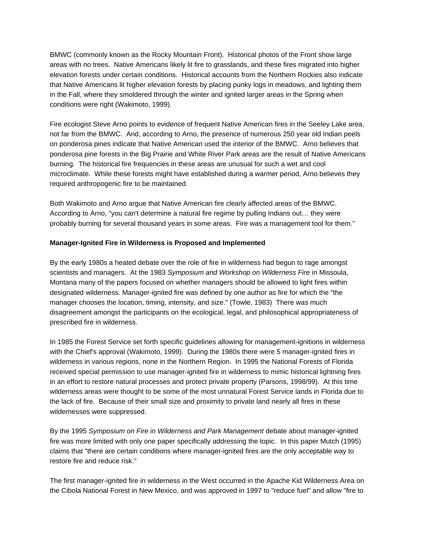BMWC (commonly known as the Rocky Mountain Front). Historical photos of the Front show large areas with no trees. Native Americans likely lit fire to grasslands, and these fires migrated into higher elevation forests under certain conditions. Historical accounts from the Northern Rockies also indicate that Native Americans lit higher elevation forests by placing punky logs in meadows, and lighting them in the Fall, where they smoldered through the winter and ignited larger areas in the Spring when conditions were right (Wakimoto, 1999).

Fire ecologist Steve Arno points to evidence of frequent Native American fires in the Seeley Lake area, not far from the BMWC. And, according to Arno, the presence of numerous 250 year old Indian peels on ponderosa pines indicate that Native American used the interior of the BMWC. Arno believes that ponderosa pine forests in the Big Prairie and White River Park areas are the result of Native Americans burning. The historical fire frequencies in these areas are unusual for such a wet and cool microclimate. While these forests might have established during a warmer period, Arno believes they required anthropogenic fire to be maintained.

Both Wakimoto and Arno argue that Native American fire clearly affected areas of the BMWC. According to Arno, "you can't determine a natural fire regime by pulling Indians out… they were probably burning for several thousand years in some areas. Fire was a management tool for them."

## **Manager-Ignited Fire in Wilderness is Proposed and Implemented**

By the early 1980s a heated debate over the role of fire in wilderness had begun to rage amongst scientists and managers. At the 1983 *Symposium and Workshop on Wilderness Fire* in Missoula, Montana many of the papers focused on whether managers should be allowed to light fires within designated wilderness. Manager-ignited fire was defined by one author as fire for which the "the manager chooses the location, timing, intensity, and size." (Towle, 1983) There was much disagreement amongst the participants on the ecological, legal, and philosophical appropriateness of prescribed fire in wilderness.

In 1985 the Forest Service set forth specific guidelines allowing for management-ignitions in wilderness with the Chief's approval (Wakimoto, 1999). During the 1980s there were 5 manager-ignited fires in wilderness in various regions, none in the Northern Region. In 1995 the National Forests of Florida received special permission to use manager-ignited fire in wilderness to mimic historical lightning fires in an effort to restore natural processes and protect private property (Parsons, 1998/99). At this time wilderness areas were thought to be some of the most unnatural Forest Service lands in Florida due to the lack of fire. Because of their small size and proximity to private land nearly all fires in these wildernesses were suppressed.

By the 1995 *Symposium on Fire in Wilderness and Park Management* debate about manager-ignited fire was more limited with only one paper specifically addressing the topic. In this paper Mutch (1995) claims that "there are certain conditions where manager-ignited fires are the only acceptable way to restore fire and reduce risk."

The first manager-ignited fire in wilderness in the West occurred in the Apache Kid Wilderness Area on the Cibola National Forest in New Mexico, and was approved in 1997 to "reduce fuel" and allow "fire to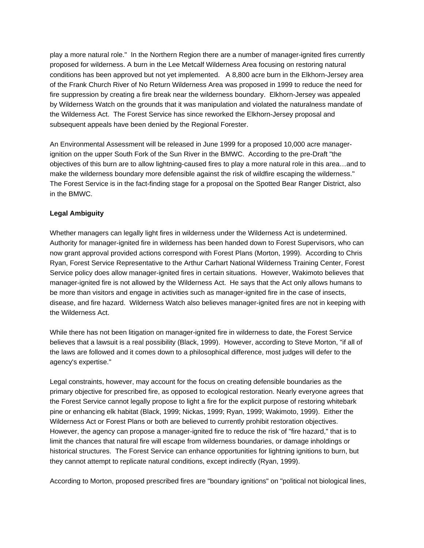play a more natural role." In the Northern Region there are a number of manager-ignited fires currently proposed for wilderness. A burn in the Lee Metcalf Wilderness Area focusing on restoring natural conditions has been approved but not yet implemented. A 8,800 acre burn in the Elkhorn-Jersey area of the Frank Church River of No Return Wilderness Area was proposed in 1999 to reduce the need for fire suppression by creating a fire break near the wilderness boundary. Elkhorn-Jersey was appealed by Wilderness Watch on the grounds that it was manipulation and violated the naturalness mandate of the Wilderness Act. The Forest Service has since reworked the Elkhorn-Jersey proposal and subsequent appeals have been denied by the Regional Forester.

An Environmental Assessment will be released in June 1999 for a proposed 10,000 acre managerignition on the upper South Fork of the Sun River in the BMWC. According to the pre-Draft "the objectives of this burn are to allow lightning-caused fires to play a more natural role in this area…and to make the wilderness boundary more defensible against the risk of wildfire escaping the wilderness." The Forest Service is in the fact-finding stage for a proposal on the Spotted Bear Ranger District, also in the BMWC.

## **Legal Ambiguity**

Whether managers can legally light fires in wilderness under the Wilderness Act is undetermined. Authority for manager-ignited fire in wilderness has been handed down to Forest Supervisors, who can now grant approval provided actions correspond with Forest Plans (Morton, 1999). According to Chris Ryan, Forest Service Representative to the Arthur Carhart National Wilderness Training Center, Forest Service policy does allow manager-ignited fires in certain situations. However, Wakimoto believes that manager-ignited fire is not allowed by the Wilderness Act. He says that the Act only allows humans to be more than visitors and engage in activities such as manager-ignited fire in the case of insects, disease, and fire hazard. Wilderness Watch also believes manager-ignited fires are not in keeping with the Wilderness Act.

While there has not been litigation on manager-ignited fire in wilderness to date, the Forest Service believes that a lawsuit is a real possibility (Black, 1999). However, according to Steve Morton, "if all of the laws are followed and it comes down to a philosophical difference, most judges will defer to the agency's expertise."

Wilderness Act or Forest Plans or both are believed to currently prohibit restoration objectives. Legal constraints, however, may account for the focus on creating defensible boundaries as the primary objective for prescribed fire, as opposed to ecological restoration. Nearly everyone agrees that the Forest Service cannot legally propose to light a fire for the explicit purpose of restoring whitebark pine or enhancing elk habitat (Black, 1999; Nickas, 1999; Ryan, 1999; Wakimoto, 1999). Either the However, the agency can propose a manager-ignited fire to reduce the risk of "fire hazard," that is to limit the chances that natural fire will escape from wilderness boundaries, or damage inholdings or historical structures. The Forest Service can enhance opportunities for lightning ignitions to burn, but they cannot attempt to replicate natural conditions, except indirectly (Ryan, 1999).

According to Morton, proposed prescribed fires are "boundary ignitions" on "political not biological lines,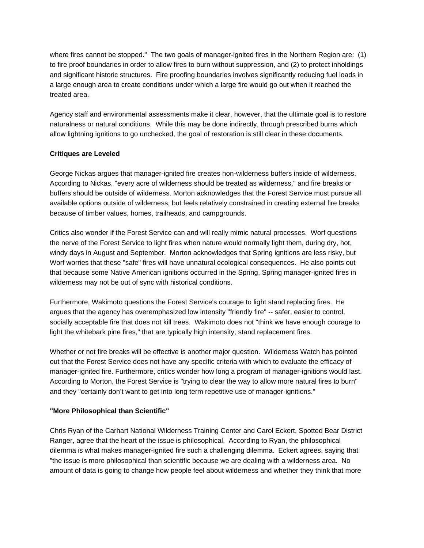where fires cannot be stopped." The two goals of manager-ignited fires in the Northern Region are: (1) to fire proof boundaries in order to allow fires to burn without suppression, and (2) to protect inholdings and significant historic structures. Fire proofing boundaries involves significantly reducing fuel loads in a large enough area to create conditions under which a large fire would go out when it reached the treated area.

Agency staff and environmental assessments make it clear, however, that the ultimate goal is to restore naturalness or natural conditions. While this may be done indirectly, through prescribed burns which allow lightning ignitions to go unchecked, the goal of restoration is still clear in these documents.

## **Critiques are Leveled**

George Nickas argues that manager-ignited fire creates non-wilderness buffers inside of wilderness. According to Nickas, "every acre of wilderness should be treated as wilderness," and fire breaks or buffers should be outside of wilderness. Morton acknowledges that the Forest Service must pursue all available options outside of wilderness, but feels relatively constrained in creating external fire breaks because of timber values, homes, trailheads, and campgrounds.

Critics also wonder if the Forest Service can and will really mimic natural processes. Worf questions the nerve of the Forest Service to light fires when nature would normally light them, during dry, hot, windy days in August and September. Morton acknowledges that Spring ignitions are less risky, but Worf worries that these "safe" fires will have unnatural ecological consequences. He also points out that because some Native American ignitions occurred in the Spring, Spring manager-ignited fires in wilderness may not be out of sync with historical conditions.

Furthermore, Wakimoto questions the Forest Service's courage to light stand replacing fires. He argues that the agency has overemphasized low intensity "friendly fire" -- safer, easier to control, socially acceptable fire that does not kill trees. Wakimoto does not "think we have enough courage to light the whitebark pine fires," that are typically high intensity, stand replacement fires.

Whether or not fire breaks will be effective is another major question. Wilderness Watch has pointed out that the Forest Service does not have any specific criteria with which to evaluate the efficacy of manager-ignited fire. Furthermore, critics wonder how long a program of manager-ignitions would last. According to Morton, the Forest Service is "trying to clear the way to allow more natural fires to burn" and they "certainly don't want to get into long term repetitive use of manager-ignitions."

## **"More Philosophical than Scientific"**

Chris Ryan of the Carhart National Wilderness Training Center and Carol Eckert, Spotted Bear District Ranger, agree that the heart of the issue is philosophical. According to Ryan, the philosophical dilemma is what makes manager-ignited fire such a challenging dilemma. Eckert agrees, saying that "the issue is more philosophical than scientific because we are dealing with a wilderness area. No amount of data is going to change how people feel about wilderness and whether they think that more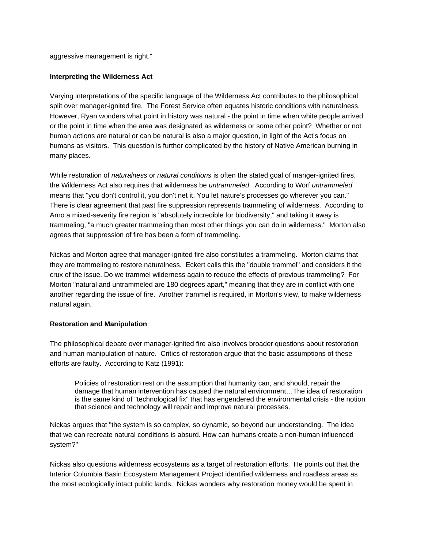aggressive management is right."

## **Interpreting the Wilderness Act**

Varying interpretations of the specific language of the Wilderness Act contributes to the philosophical split over manager-ignited fire. The Forest Service often equates historic conditions with naturalness. However, Ryan wonders what point in history was natural - the point in time when white people arrived or the point in time when the area was designated as wilderness or some other point? Whether or not human actions are natural or can be natural is also a major question, in light of the Act's focus on humans as visitors. This question is further complicated by the history of Native American burning in many places.

While restoration of *naturalness* or *natural conditions* is often the stated goal of manger-ignited fires, the Wilderness Act also requires that wilderness be *untrammeled*. According to Worf *untrammeled*  means that "you don't control it, you don't net it. You let nature's processes go wherever you can." There is clear agreement that past fire suppression represents trammeling of wilderness. According to Arno a mixed-severity fire region is "absolutely incredible for biodiversity," and taking it away is trammeling, "a much greater trammeling than most other things you can do in wilderness." Morton also agrees that suppression of fire has been a form of trammeling.

Nickas and Morton agree that manager-ignited fire also constitutes a trammeling. Morton claims that they are trammeling to restore naturalness. Eckert calls this the "double trammel" and considers it the crux of the issue. Do we trammel wilderness again to reduce the effects of previous trammeling? For Morton "natural and untrammeled are 180 degrees apart," meaning that they are in conflict with one another regarding the issue of fire. Another trammel is required, in Morton's view, to make wilderness natural again.

#### **Restoration and Manipulation**

The philosophical debate over manager-ignited fire also involves broader questions about restoration and human manipulation of nature. Critics of restoration argue that the basic assumptions of these efforts are faulty. According to Katz (1991):

Policies of restoration rest on the assumption that humanity can, and should, repair the damage that human intervention has caused the natural environment…The idea of restoration is the same kind of "technological fix" that has engendered the environmental crisis - the notion that science and technology will repair and improve natural processes.

Nickas argues that "the system is so complex, so dynamic, so beyond our understanding. The idea that we can recreate natural conditions is absurd. How can humans create a non-human influenced system?"

Nickas also questions wilderness ecosystems as a target of restoration efforts. He points out that the Interior Columbia Basin Ecosystem Management Project identified wilderness and roadless areas as the most ecologically intact public lands. Nickas wonders why restoration money would be spent in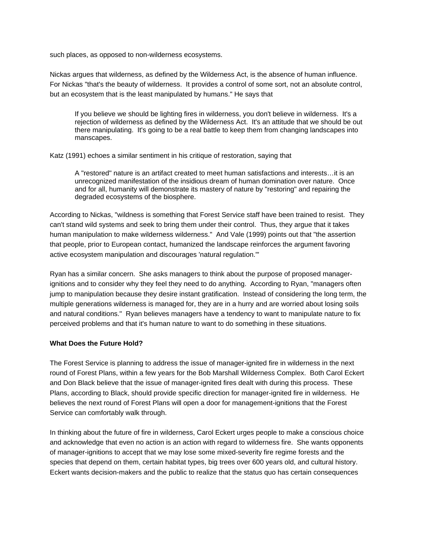such places, as opposed to non-wilderness ecosystems.

Nickas argues that wilderness, as defined by the Wilderness Act, is the absence of human influence. For Nickas "that's the beauty of wilderness. It provides a control of some sort, not an absolute control, but an ecosystem that is the least manipulated by humans." He says that

If you believe we should be lighting fires in wilderness, you don't believe in wilderness. It's a rejection of wilderness as defined by the Wilderness Act. It's an attitude that we should be out there manipulating. It's going to be a real battle to keep them from changing landscapes into manscapes.

Katz (1991) echoes a similar sentiment in his critique of restoration, saying that

A "restored" nature is an artifact created to meet human satisfactions and interests…it is an unrecognized manifestation of the insidious dream of human domination over nature. Once and for all, humanity will demonstrate its mastery of nature by "restoring" and repairing the degraded ecosystems of the biosphere.

According to Nickas, "wildness is something that Forest Service staff have been trained to resist. They can't stand wild systems and seek to bring them under their control. Thus, they argue that it takes human manipulation to make wilderness wilderness." And Vale (1999) points out that "the assertion that people, prior to European contact, humanized the landscape reinforces the argument favoring active ecosystem manipulation and discourages 'natural regulation.'"

Ryan has a similar concern. She asks managers to think about the purpose of proposed managerignitions and to consider why they feel they need to do anything. According to Ryan, "managers often jump to manipulation because they desire instant gratification. Instead of considering the long term, the multiple generations wilderness is managed for, they are in a hurry and are worried about losing soils and natural conditions." Ryan believes managers have a tendency to want to manipulate nature to fix perceived problems and that it's human nature to want to do something in these situations.

#### **What Does the Future Hold?**

The Forest Service is planning to address the issue of manager-ignited fire in wilderness in the next round of Forest Plans, within a few years for the Bob Marshall Wilderness Complex. Both Carol Eckert and Don Black believe that the issue of manager-ignited fires dealt with during this process. These Plans, according to Black, should provide specific direction for manager-ignited fire in wilderness. He believes the next round of Forest Plans will open a door for management-ignitions that the Forest Service can comfortably walk through.

In thinking about the future of fire in wilderness, Carol Eckert urges people to make a conscious choice and acknowledge that even no action is an action with regard to wilderness fire. She wants opponents of manager-ignitions to accept that we may lose some mixed-severity fire regime forests and the species that depend on them, certain habitat types, big trees over 600 years old, and cultural history. Eckert wants decision-makers and the public to realize that the status quo has certain consequences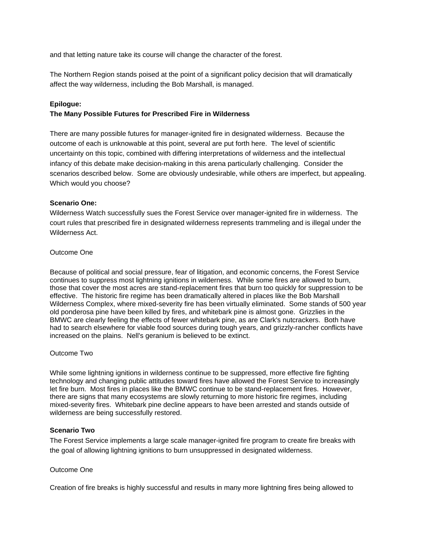and that letting nature take its course will change the character of the forest.

The Northern Region stands poised at the point of a significant policy decision that will dramatically affect the way wilderness, including the Bob Marshall, is managed.

### **Epilogue:**

### **The Many Possible Futures for Prescribed Fire in Wilderness**

There are many possible futures for manager-ignited fire in designated wilderness. Because the outcome of each is unknowable at this point, several are put forth here. The level of scientific uncertainty on this topic, combined with differing interpretations of wilderness and the intellectual infancy of this debate make decision-making in this arena particularly challenging. Consider the scenarios described below. Some are obviously undesirable, while others are imperfect, but appealing. Which would you choose?

#### **Scenario One:**

Wilderness Watch successfully sues the Forest Service over manager-ignited fire in wilderness. The court rules that prescribed fire in designated wilderness represents trammeling and is illegal under the Wilderness Act.

#### Outcome One

Because of political and social pressure, fear of litigation, and economic concerns, the Forest Service continues to suppress most lightning ignitions in wilderness. While some fires are allowed to burn, those that cover the most acres are stand-replacement fires that burn too quickly for suppression to be effective. The historic fire regime has been dramatically altered in places like the Bob Marshall Wilderness Complex, where mixed-severity fire has been virtually eliminated. Some stands of 500 year old ponderosa pine have been killed by fires, and whitebark pine is almost gone. Grizzlies in the BMWC are clearly feeling the effects of fewer whitebark pine, as are Clark's nutcrackers. Both have had to search elsewhere for viable food sources during tough years, and grizzly-rancher conflicts have increased on the plains. Nell's geranium is believed to be extinct.

### Outcome Two

While some lightning ignitions in wilderness continue to be suppressed, more effective fire fighting technology and changing public attitudes toward fires have allowed the Forest Service to increasingly let fire burn. Most fires in places like the BMWC continue to be stand-replacement fires. However, there are signs that many ecosystems are slowly returning to more historic fire regimes, including mixed-severity fires. Whitebark pine decline appears to have been arrested and stands outside of wilderness are being successfully restored.

## **Scenario Two**

The Forest Service implements a large scale manager-ignited fire program to create fire breaks with the goal of allowing lightning ignitions to burn unsuppressed in designated wilderness.

#### Outcome One

Creation of fire breaks is highly successful and results in many more lightning fires being allowed to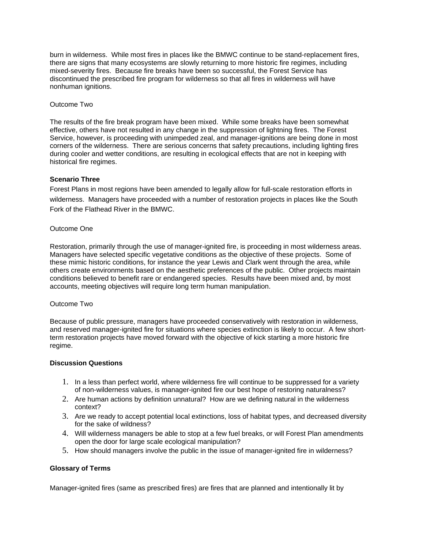burn in wilderness. While most fires in places like the BMWC continue to be stand-replacement fires, there are signs that many ecosystems are slowly returning to more historic fire regimes, including mixed-severity fires. Because fire breaks have been so successful, the Forest Service has discontinued the prescribed fire program for wilderness so that all fires in wilderness will have nonhuman ignitions.

#### Outcome Two

The results of the fire break program have been mixed. While some breaks have been somewhat effective, others have not resulted in any change in the suppression of lightning fires. The Forest Service, however, is proceeding with unimpeded zeal, and manager-ignitions are being done in most corners of the wilderness. There are serious concerns that safety precautions, including lighting fires during cooler and wetter conditions, are resulting in ecological effects that are not in keeping with historical fire regimes.

### **Scenario Three**

Forest Plans in most regions have been amended to legally allow for full-scale restoration efforts in wilderness. Managers have proceeded with a number of restoration projects in places like the South Fork of the Flathead River in the BMWC.

### Outcome One

Restoration, primarily through the use of manager-ignited fire, is proceeding in most wilderness areas. Managers have selected specific vegetative conditions as the objective of these projects. Some of these mimic historic conditions, for instance the year Lewis and Clark went through the area, while others create environments based on the aesthetic preferences of the public. Other projects maintain conditions believed to benefit rare or endangered species. Results have been mixed and, by most accounts, meeting objectives will require long term human manipulation.

#### Outcome Two

Because of public pressure, managers have proceeded conservatively with restoration in wilderness, and reserved manager-ignited fire for situations where species extinction is likely to occur. A few shortterm restoration projects have moved forward with the objective of kick starting a more historic fire regime.

### **Discussion Questions**

- 1. In a less than perfect world, where wilderness fire will continue to be suppressed for a variety of non-wilderness values, is manager-ignited fire our best hope of restoring naturalness?
- 2. Are human actions by definition unnatural? How are we defining natural in the wilderness context?
- 3. Are we ready to accept potential local extinctions, loss of habitat types, and decreased diversity for the sake of wildness?
- open the door for large scale ecological manipulation? 4. Will wilderness managers be able to stop at a few fuel breaks, or will Forest Plan amendments
- 5. How should managers involve the public in the issue of manager-ignited fire in wilderness?

## **Glossary of Terms**

Manager-ignited fires (same as prescribed fires) are fires that are planned and intentionally lit by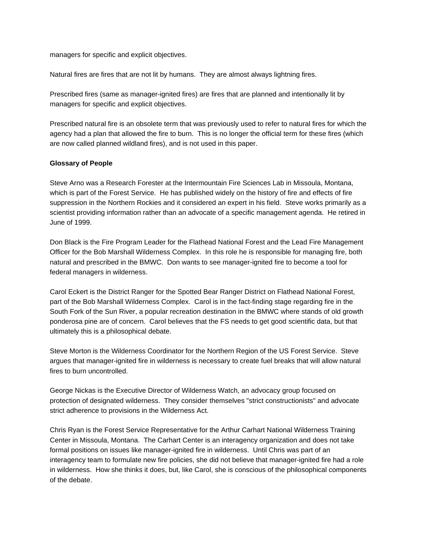managers for specific and explicit objectives.

Natural fires are fires that are not lit by humans. They are almost always lightning fires.

Prescribed fires (same as manager-ignited fires) are fires that are planned and intentionally lit by managers for specific and explicit objectives.

Prescribed natural fire is an obsolete term that was previously used to refer to natural fires for which the agency had a plan that allowed the fire to burn. This is no longer the official term for these fires (which are now called planned wildland fires), and is not used in this paper.

### **Glossary of People**

Steve Arno was a Research Forester at the Intermountain Fire Sciences Lab in Missoula, Montana, which is part of the Forest Service. He has published widely on the history of fire and effects of fire suppression in the Northern Rockies and it considered an expert in his field. Steve works primarily as a scientist providing information rather than an advocate of a specific management agenda. He retired in June of 1999.

Don Black is the Fire Program Leader for the Flathead National Forest and the Lead Fire Management Officer for the Bob Marshall Wilderness Complex. In this role he is responsible for managing fire, both natural and prescribed in the BMWC. Don wants to see manager-ignited fire to become a tool for federal managers in wilderness.

Carol Eckert is the District Ranger for the Spotted Bear Ranger District on Flathead National Forest, part of the Bob Marshall Wilderness Complex. Carol is in the fact-finding stage regarding fire in the South Fork of the Sun River, a popular recreation destination in the BMWC where stands of old growth ponderosa pine are of concern. Carol believes that the FS needs to get good scientific data, but that ultimately this is a philosophical debate.

Steve Morton is the Wilderness Coordinator for the Northern Region of the US Forest Service. Steve argues that manager-ignited fire in wilderness is necessary to create fuel breaks that will allow natural fires to burn uncontrolled.

George Nickas is the Executive Director of Wilderness Watch, an advocacy group focused on protection of designated wilderness. They consider themselves "strict constructionists" and advocate strict adherence to provisions in the Wilderness Act.

Chris Ryan is the Forest Service Representative for the Arthur Carhart National Wilderness Training Center in Missoula, Montana. The Carhart Center is an interagency organization and does not take formal positions on issues like manager-ignited fire in wilderness. Until Chris was part of an interagency team to formulate new fire policies, she did not believe that manager-ignited fire had a role in wilderness. How she thinks it does, but, like Carol, she is conscious of the philosophical components of the debate.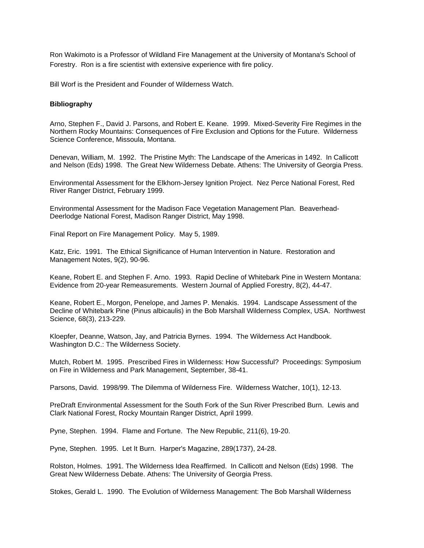Ron Wakimoto is a Professor of Wildland Fire Management at the University of Montana's School of Forestry. Ron is a fire scientist with extensive experience with fire policy.

Bill Worf is the President and Founder of Wilderness Watch.

#### **Bibliography**

Arno, Stephen F., David J. Parsons, and Robert E. Keane. 1999. Mixed-Severity Fire Regimes in the Northern Rocky Mountains: Consequences of Fire Exclusion and Options for the Future. Wilderness Science Conference, Missoula, Montana.

Denevan, William, M. 1992. The Pristine Myth: The Landscape of the Americas in 1492. In Callicott and Nelson (Eds) 1998. The Great New Wilderness Debate. Athens: The University of Georgia Press.

Environmental Assessment for the Elkhorn-Jersey Ignition Project. Nez Perce National Forest, Red River Ranger District, February 1999.

Environmental Assessment for the Madison Face Vegetation Management Plan. Beaverhead-Deerlodge National Forest, Madison Ranger District, May 1998.

Final Report on Fire Management Policy. May 5, 1989.

Katz, Eric. 1991. The Ethical Significance of Human Intervention in Nature. Restoration and Management Notes, 9(2), 90-96.

Keane, Robert E. and Stephen F. Arno. 1993. Rapid Decline of Whitebark Pine in Western Montana: Evidence from 20-year Remeasurements. Western Journal of Applied Forestry, 8(2), 44-47.

Keane, Robert E., Morgon, Penelope, and James P. Menakis. 1994. Landscape Assessment of the Decline of Whitebark Pine (Pinus albicaulis) in the Bob Marshall Wilderness Complex, USA. Northwest Science, 68(3), 213-229.

Kloepfer, Deanne, Watson, Jay, and Patricia Byrnes. 1994. The Wilderness Act Handbook. Washington D.C.: The Wilderness Society.

Mutch, Robert M. 1995. Prescribed Fires in Wilderness: How Successful? Proceedings: Symposium on Fire in Wilderness and Park Management, September, 38-41.

Parsons, David. 1998/99. The Dilemma of Wilderness Fire. Wilderness Watcher, 10(1), 12-13.

Clark National Forest, Rocky Mountain Ranger District, April 1999. PreDraft Environmental Assessment for the South Fork of the Sun River Prescribed Burn. Lewis and

Pyne, Stephen. 1994. Flame and Fortune. The New Republic, 211(6), 19-20.

Pyne, Stephen. 1995. Let It Burn. Harper's Magazine, 289(1737), 24-28.

Rolston, Holmes. 1991. The Wilderness Idea Reaffirmed. In Callicott and Nelson (Eds) 1998. The Great New Wilderness Debate. Athens: The University of Georgia Press.

Stokes, Gerald L. 1990. The Evolution of Wilderness Management: The Bob Marshall Wilderness